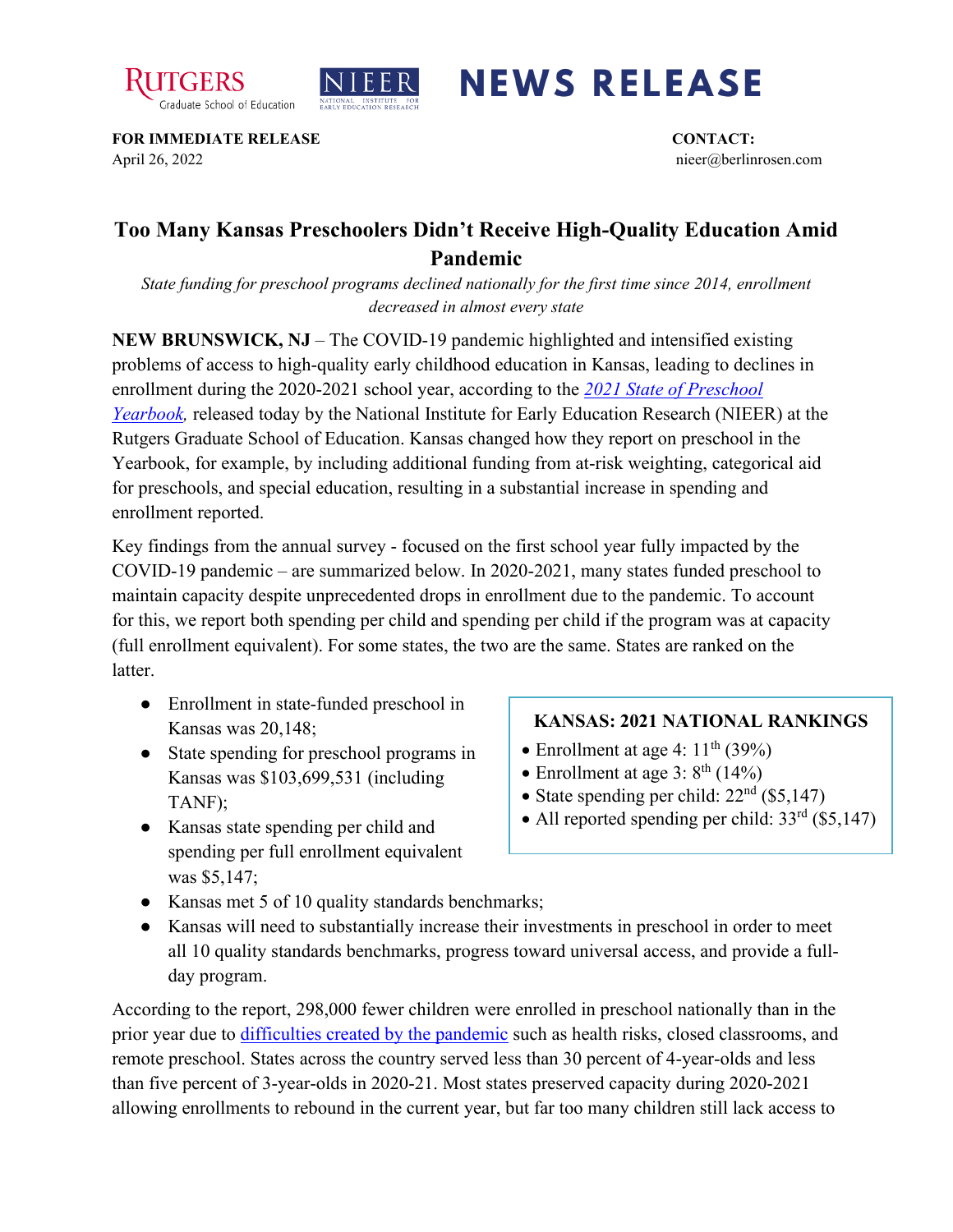



## **NEWS RELEASE**

**FOR IMMEDIATE RELEASE CONTACT:**  April 26, 2022 nieer@berlinrosen.com

## **Too Many Kansas Preschoolers Didn't Receive High-Quality Education Amid Pandemic**

*State funding for preschool programs declined nationally for the first time since 2014, enrollment decreased in almost every state*

**NEW BRUNSWICK, NJ** – The COVID-19 pandemic highlighted and intensified existing problems of access to high-quality early childhood education in Kansas, leading to declines in enrollment during the 2020-2021 school year, according to the *[2021 State of Preschool](https://nieer.org/state-preschool-yearbooks-yearbook2021)  Yearbook*, released today by the National Institute for Early Education Research (NIEER) at the Rutgers Graduate School of Education. Kansas changed how they report on preschool in the Yearbook, for example, by including additional funding from at-risk weighting, categorical aid for preschools, and special education, resulting in a substantial increase in spending and enrollment reported.

Key findings from the annual survey - focused on the first school year fully impacted by the COVID-19 pandemic – are summarized below. In 2020-2021, many states funded preschool to maintain capacity despite unprecedented drops in enrollment due to the pandemic. To account for this, we report both spending per child and spending per child if the program was at capacity (full enrollment equivalent). For some states, the two are the same. States are ranked on the latter.

- Enrollment in state-funded preschool in Kansas was 20,148;
- State spending for preschool programs in Kansas was \$103,699,531 (including TANF);
- Kansas state spending per child and spending per full enrollment equivalent was \$5,147;

## **KANSAS: 2021 NATIONAL RANKINGS**

- Enrollment at age 4:  $11<sup>th</sup>$  (39%)
- Enrollment at age 3:  $8^{\text{th}}$  (14%)
- State spending per child:  $22<sup>nd</sup>$  (\$5,147)
- All reported spending per child:  $33<sup>rd</sup>$  (\$5,147)
- Kansas met 5 of 10 quality standards benchmarks;
- Kansas will need to substantially increase their investments in preschool in order to meet all 10 quality standards benchmarks, progress toward universal access, and provide a fullday program.

According to the report, 298,000 fewer children were enrolled in preschool nationally than in the prior year due to [difficulties created by the pandemic](https://nieer.org/wp-content/uploads/2021/02/NIEER_Seven_Impacts_of_the_Pandemic_on_Young_Children_and_their_Parents.pdf) such as health risks, closed classrooms, and remote preschool. States across the country served less than 30 percent of 4-year-olds and less than five percent of 3-year-olds in 2020-21. Most states preserved capacity during 2020-2021 allowing enrollments to rebound in the current year, but far too many children still lack access to